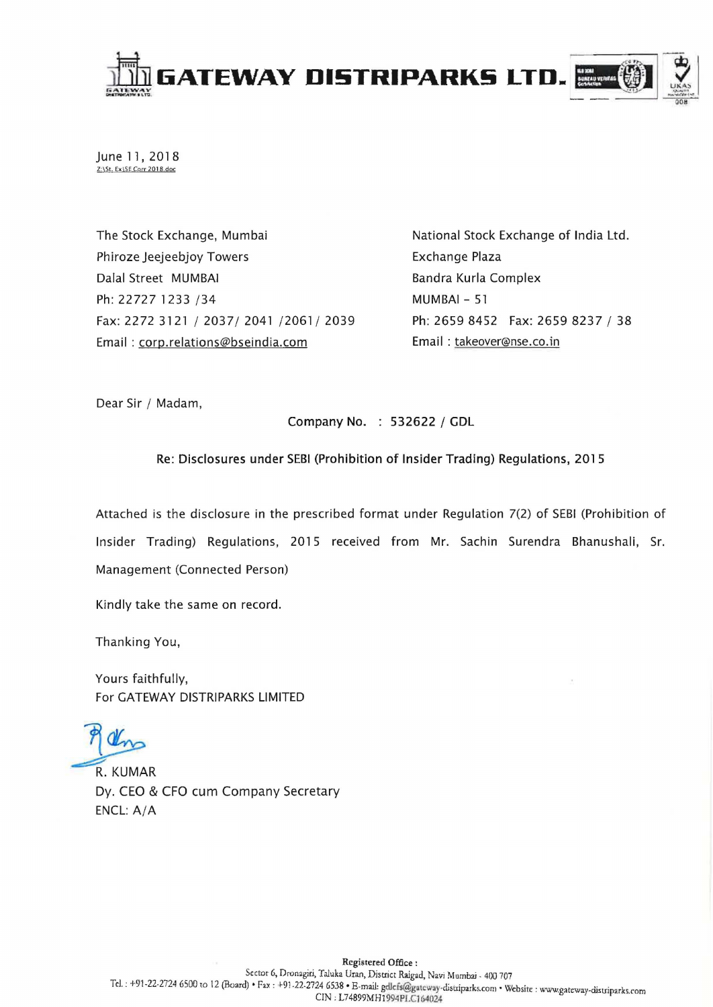

June 11, 2018 Z:\5t. Ex\SE Carr 201 *B* doc

The Stock Exchange, Mumbai Phiroze Jeejeebjoy Towers Dalal Street MUMBAI Ph: 22727 1233 /34 Fax: 2272 3121/2037/2041/2061/2039 Email: corp.relations@bseindia.com

National Stock Exchange of India Ltd. Exchange Plaza Bandra Kurla Complex MUMBAI - 51 Ph: 2659 8452 Fax: 2659 8237 / 38 Email: takeover@nse.co.in

Dear Sir / Madam,

Company No. : 532622 / GDL

## Re: Disclosures under SEBI (Prohibition of Insider Trading) Regulations, 2015

Attached is the disclosure in the prescribed format under Regulation 7(2) of SEBI (Prohibition of Insider Trading) Regulations, 2015 received from Mr. Sachin Surendra Bhanushali, Sr. Management (Connected Person)

Kindly take the same on record.

Thanking You,

Yours faithfully, For GATEWAY DISTRIPARKS LIMITED

an

**R. KUMAR** Dy. CEO & CFO cum Company Secretary ENCL:A/A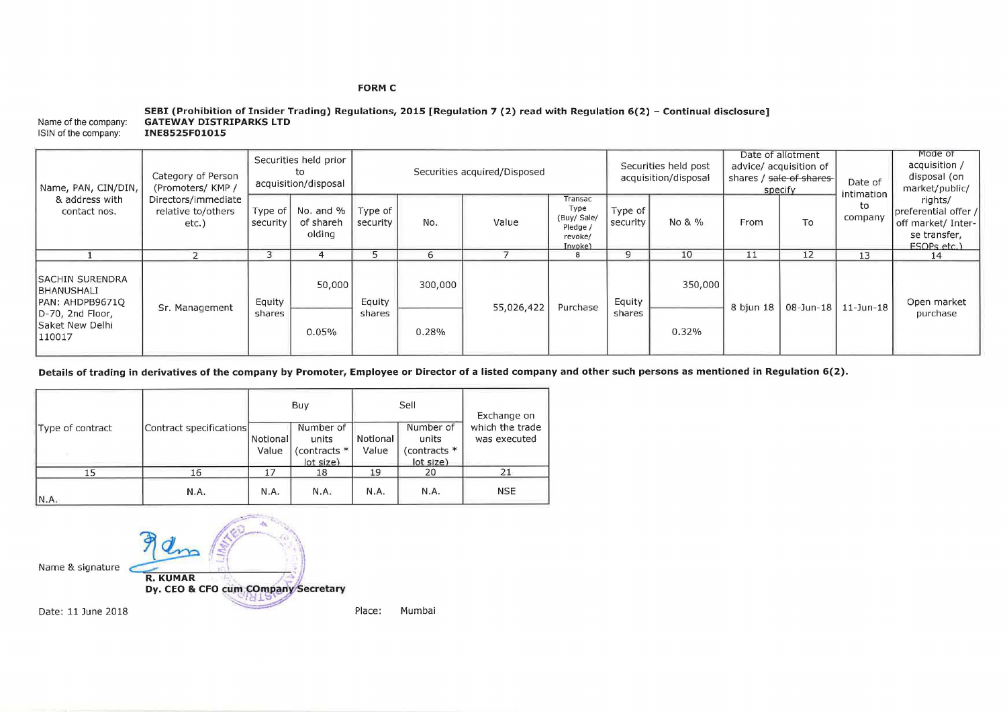## **FORM C**

|                      | SEBI (Prohibition of Insider Trading) Regulations, 2015 [Regulation 7 (2) read with Regulation $6(2)$ – Continual disclosure] |
|----------------------|-------------------------------------------------------------------------------------------------------------------------------|
| Name of the company: | <b>GATEWAY DISTRIPARKS LTD</b>                                                                                                |
| ISIN of the company: | INE8525F01015                                                                                                                 |

| Name, PAN, CIN/DIN,<br>& address with<br>contact nos.                                                            | Category of Person<br>(Promoters/KMP/<br>Directors/immediate<br>relative to/others<br>etc.) | Securities held prior<br>tο<br>acquisition/disposal |                                  | Securities acquired/Disposed |         |            |                                                                  | Securities held post<br>acquisition/disposal |         | Date of allotment<br>advice/ acquisition of<br>shares / sale of shares<br>specify |    | Date of<br>intimation | Mode of<br>acquisition /<br>disposal (on<br>market/public/                           |
|------------------------------------------------------------------------------------------------------------------|---------------------------------------------------------------------------------------------|-----------------------------------------------------|----------------------------------|------------------------------|---------|------------|------------------------------------------------------------------|----------------------------------------------|---------|-----------------------------------------------------------------------------------|----|-----------------------|--------------------------------------------------------------------------------------|
|                                                                                                                  |                                                                                             | Type of<br>security                                 | No. and %<br>of shareh<br>olding | Type of<br>security          | No.     | Value      | Transac<br>Type<br>(Buy/ Sale/<br>Pledge /<br>revoke/<br>Invoke) | Type of<br>security                          | No & %  | From                                                                              | To | to<br>company         | rights/<br>preferential offer /<br>off market/ Inter-<br>se transfer,<br>ESOPs etc.) |
|                                                                                                                  |                                                                                             |                                                     |                                  |                              |         |            | ۰                                                                |                                              | 10      | 11                                                                                | 12 | 13                    | 14                                                                                   |
| <b>SACHIN SURENDRA</b><br>IBHANUSHALI<br>PAN: AHDPB9671O<br>D-70, 2nd Floor,<br><b>Saket New Delhi</b><br>110017 | Sr. Management                                                                              | Equity                                              | 50,000                           | Equity                       | 300,000 | 55,026,422 | Purchase                                                         | Equity<br>shares                             | 350,000 | $8 \text{ bjun } 18$                                                              |    | 08-Jun-18   11-Jun-18 | Open market<br>purchase                                                              |
|                                                                                                                  |                                                                                             | shares                                              | 0.05%                            | shares                       | 0.28%   |            |                                                                  |                                              | 0.32%   |                                                                                   |    |                       |                                                                                      |

**Details of trading in derivatives of the company by Promoter, Employee or Director of a listed company and other such persons as mentioned in Regulation 6(2).** 

|                  |                         |                     | Buy                                             |                   | Sell                                            | Exchange on<br>which the trade<br>was executed |  |
|------------------|-------------------------|---------------------|-------------------------------------------------|-------------------|-------------------------------------------------|------------------------------------------------|--|
| Type of contract | Contract specifications | Notional  <br>Value | Number of<br>units<br>(contracts *<br>lot size) | Notional<br>Value | Number of<br>units<br>(contracts *<br>lot size) |                                                |  |
| 15               | 16                      | 17                  | 18                                              | 19                | 20                                              | 21                                             |  |
| N.A.             | N.A.                    | N.A.                | N.A.                                            | N.A.              | N.A.                                            | <b>NSE</b>                                     |  |

Name & signature Date: 11 June 2018 **---==-**  $P_{R. KUMAR}$ **R. KUMAR**<br>Dy. CEO & CFO cum COmpany Secret. .. ,:' r: **'1';:)** 

Place: Mumbai